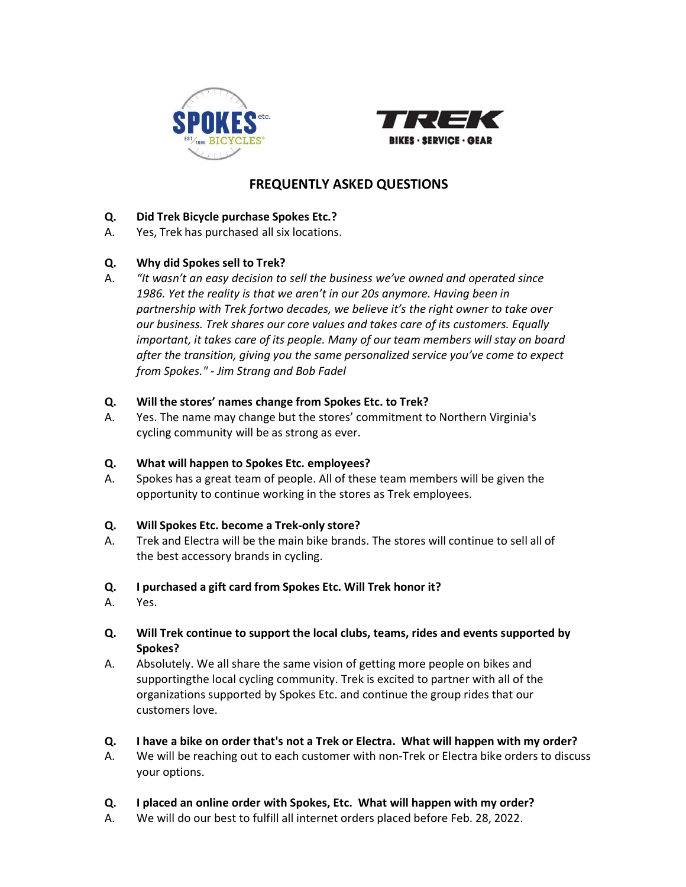



# FREQUENTLY ASKED QUESTIONS

## Q. Did Trek Bicycle purchase Spokes Etc.?

A. Yes, Trek has purchased all six locations.

# Q. Why did Spokes sell to Trek?

A. "It wasn't an easy decision to sell the business we've owned and operated since 1986. Yet the reality is that we aren't in our 20s anymore. Having been in partnership with Trek fortwo decades, we believe it's the right owner to take over our business. Trek shares our core values and takes care of its customers. Equally important, it takes care of its people. Many of our team members will stay on board after the transition, giving you the same personalized service you've come to expect from Spokes." - Jim Strang and Bob Fadel

#### Q. Will the stores' names change from Spokes Etc. to Trek?

A. Yes. The name may change but the stores' commitment to Northern Virginia's cycling community will be as strong as ever.

### Q. What will happen to Spokes Etc. employees?

A. Spokes has a great team of people. All of these team members will be given the opportunity to continue working in the stores as Trek employees.

### Q. Will Spokes Etc. become a Trek-only store?

A. Trek and Electra will be the main bike brands. The stores will continue to sell all of the best accessory brands in cycling.

### Q. I purchased a gift card from Spokes Etc. Will Trek honor it?

- A. Yes.
- Q. Will Trek continue to support the local clubs, teams, rides and events supported by Spokes?
- A. Absolutely. We all share the same vision of getting more people on bikes and supporting the local cycling community. Trek is excited to partner with all of the organizations supported by Spokes Etc. and continue the group rides that our customers love.

#### Q. I have a bike on order that's not a Trek or Electra. What will happen with my order?

- A. We will be reaching out to each customer with non-Trek or Electra bike orders to discuss your options.
- Q. I placed an online order with Spokes, Etc. What will happen with my order?
- A. We will do our best to fulfill all internet orders placed before Feb. 28, 2022.